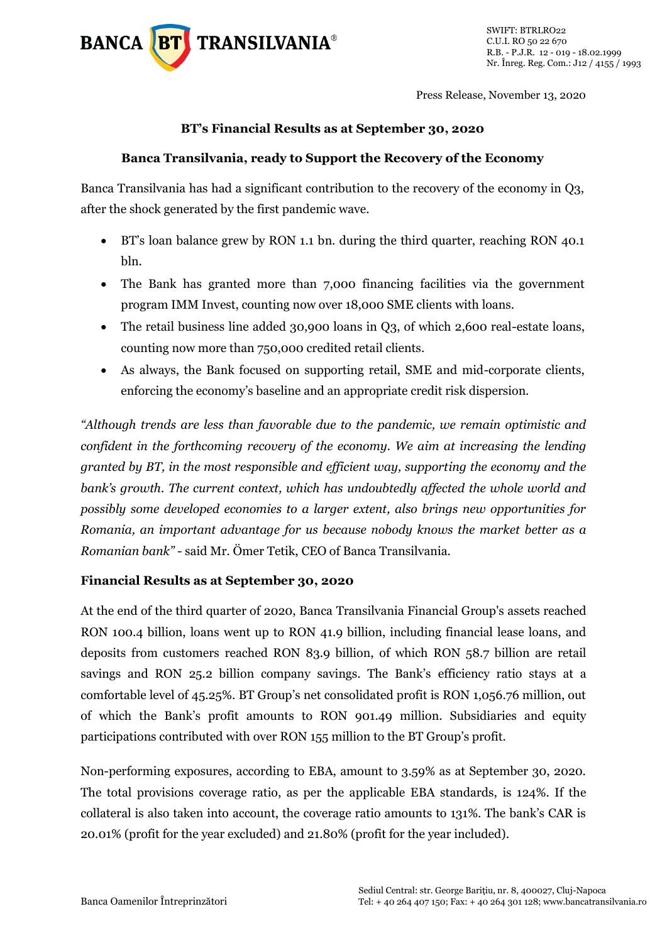

Press Release, November 13, 2020

## **BT's Financial Results as at September 30, 2020**

## **Banca Transilvania, ready to Support the Recovery of the Economy**

Banca Transilvania has had a significant contribution to the recovery of the economy in Q3, after the shock generated by the first pandemic wave.

- BT's loan balance grew by RON 1.1 bn. during the third quarter, reaching RON 40.1 bln.
- The Bank has granted more than 7,000 financing facilities via the government program IMM Invest, counting now over 18,000 SME clients with loans.
- The retail business line added 30,900 loans in Q3, of which 2,600 real-estate loans, counting now more than 750,000 credited retail clients.
- As always, the Bank focused on supporting retail, SME and mid-corporate clients, enforcing the economy's baseline and an appropriate credit risk dispersion.

*"Although trends are less than favorable due to the pandemic, we remain optimistic and confident in the forthcoming recovery of the economy. We aim at increasing the lending granted by BT, in the most responsible and efficient way, supporting the economy and the bank's growth. The current context, which has undoubtedly affected the whole world and possibly some developed economies to a larger extent, also brings new opportunities for Romania, an important advantage for us because nobody knows the market better as a Romanian bank" -* said Mr. Ömer Tetik, CEO of Banca Transilvania.

## **Financial Results as at September 30, 2020**

At the end of the third quarter of 2020, Banca Transilvania Financial Group's assets reached RON 100.4 billion, loans went up to RON 41.9 billion, including financial lease loans, and deposits from customers reached RON 83.9 billion, of which RON 58.7 billion are retail savings and RON 25.2 billion company savings. The Bank's efficiency ratio stays at a comfortable level of 45.25%. BT Group's net consolidated profit is RON 1,056.76 million, out of which the Bank's profit amounts to RON 901.49 million. Subsidiaries and equity participations contributed with over RON 155 million to the BT Group's profit.

Non-performing exposures, according to EBA, amount to 3.59% as at September 30, 2020. The total provisions coverage ratio, as per the applicable EBA standards, is 124%. If the collateral is also taken into account, the coverage ratio amounts to 131%. The bank's CAR is 20.01% (profit for the year excluded) and 21.80% (profit for the year included).